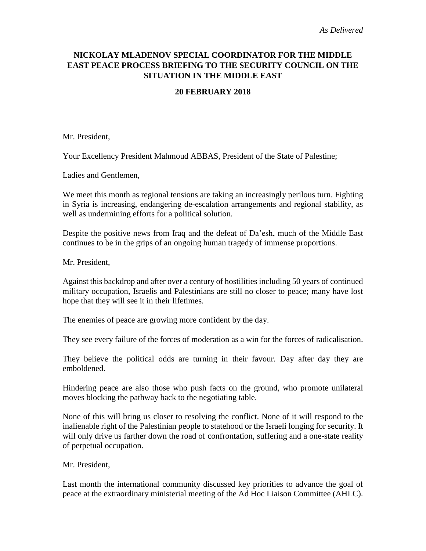## **NICKOLAY MLADENOV SPECIAL COORDINATOR FOR THE MIDDLE EAST PEACE PROCESS BRIEFING TO THE SECURITY COUNCIL ON THE SITUATION IN THE MIDDLE EAST**

## **20 FEBRUARY 2018**

Mr. President,

Your Excellency President Mahmoud ABBAS, President of the State of Palestine;

Ladies and Gentlemen,

We meet this month as regional tensions are taking an increasingly perilous turn. Fighting in Syria is increasing, endangering de-escalation arrangements and regional stability, as well as undermining efforts for a political solution.

Despite the positive news from Iraq and the defeat of Da'esh, much of the Middle East continues to be in the grips of an ongoing human tragedy of immense proportions.

Mr. President,

Against this backdrop and after over a century of hostilities including 50 years of continued military occupation, Israelis and Palestinians are still no closer to peace; many have lost hope that they will see it in their lifetimes.

The enemies of peace are growing more confident by the day.

They see every failure of the forces of moderation as a win for the forces of radicalisation.

They believe the political odds are turning in their favour. Day after day they are emboldened.

Hindering peace are also those who push facts on the ground, who promote unilateral moves blocking the pathway back to the negotiating table.

None of this will bring us closer to resolving the conflict. None of it will respond to the inalienable right of the Palestinian people to statehood or the Israeli longing for security. It will only drive us farther down the road of confrontation, suffering and a one-state reality of perpetual occupation.

Mr. President,

Last month the international community discussed key priorities to advance the goal of peace at the extraordinary ministerial meeting of the Ad Hoc Liaison Committee (AHLC).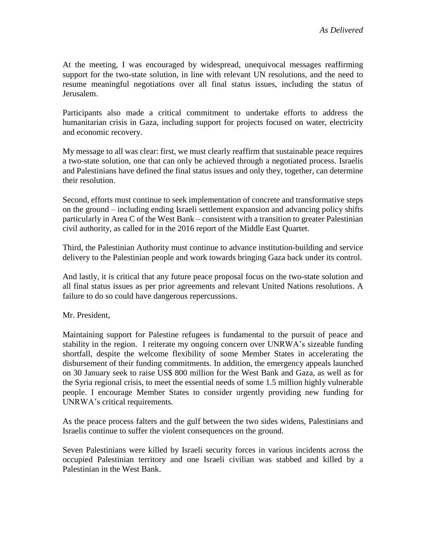At the meeting, I was encouraged by widespread, unequivocal messages reaffirming support for the two-state solution, in line with relevant UN resolutions, and the need to resume meaningful negotiations over all final status issues, including the status of Jerusalem.

Participants also made a critical commitment to undertake efforts to address the humanitarian crisis in Gaza, including support for projects focused on water, electricity and economic recovery.

My message to all was clear: first, we must clearly reaffirm that sustainable peace requires a two-state solution, one that can only be achieved through a negotiated process. Israelis and Palestinians have defined the final status issues and only they, together, can determine their resolution.

Second, efforts must continue to seek implementation of concrete and transformative steps on the ground – including ending Israeli settlement expansion and advancing policy shifts particularly in Area C of the West Bank – consistent with a transition to greater Palestinian civil authority, as called for in the 2016 report of the Middle East Quartet.

Third, the Palestinian Authority must continue to advance institution-building and service delivery to the Palestinian people and work towards bringing Gaza back under its control.

And lastly, it is critical that any future peace proposal focus on the two-state solution and all final status issues as per prior agreements and relevant United Nations resolutions. A failure to do so could have dangerous repercussions.

Mr. President,

Maintaining support for Palestine refugees is fundamental to the pursuit of peace and stability in the region. I reiterate my ongoing concern over UNRWA's sizeable funding shortfall, despite the welcome flexibility of some Member States in accelerating the disbursement of their funding commitments. In addition, the emergency appeals launched on 30 January seek to raise US\$ 800 million for the West Bank and Gaza, as well as for the Syria regional crisis, to meet the essential needs of some 1.5 million highly vulnerable people. I encourage Member States to consider urgently providing new funding for UNRWA's critical requirements.

As the peace process falters and the gulf between the two sides widens, Palestinians and Israelis continue to suffer the violent consequences on the ground.

Seven Palestinians were killed by Israeli security forces in various incidents across the occupied Palestinian territory and one Israeli civilian was stabbed and killed by a Palestinian in the West Bank.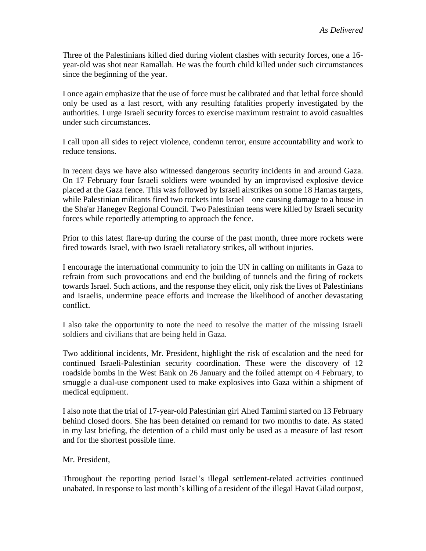Three of the Palestinians killed died during violent clashes with security forces, one a 16 year-old was shot near Ramallah. He was the fourth child killed under such circumstances since the beginning of the year.

I once again emphasize that the use of force must be calibrated and that lethal force should only be used as a last resort, with any resulting fatalities properly investigated by the authorities. I urge Israeli security forces to exercise maximum restraint to avoid casualties under such circumstances.

I call upon all sides to reject violence, condemn terror, ensure accountability and work to reduce tensions.

In recent days we have also witnessed dangerous security incidents in and around Gaza. On 17 February four Israeli soldiers were wounded by an improvised explosive device placed at the Gaza fence. This was followed by Israeli airstrikes on some 18 Hamas targets, while Palestinian militants fired two rockets into Israel – one causing damage to a house in the Sha'ar Hanegev Regional Council. Two Palestinian teens were killed by Israeli security forces while reportedly attempting to approach the fence.

Prior to this latest flare-up during the course of the past month, three more rockets were fired towards Israel, with two Israeli retaliatory strikes, all without injuries.

I encourage the international community to join the UN in calling on militants in Gaza to refrain from such provocations and end the building of tunnels and the firing of rockets towards Israel. Such actions, and the response they elicit, only risk the lives of Palestinians and Israelis, undermine peace efforts and increase the likelihood of another devastating conflict.

I also take the opportunity to note the need to resolve the matter of the missing Israeli soldiers and civilians that are being held in Gaza.

Two additional incidents, Mr. President, highlight the risk of escalation and the need for continued Israeli-Palestinian security coordination. These were the discovery of 12 roadside bombs in the West Bank on 26 January and the foiled attempt on 4 February, to smuggle a dual-use component used to make explosives into Gaza within a shipment of medical equipment.

I also note that the trial of 17-year-old Palestinian girl Ahed Tamimi started on 13 February behind closed doors. She has been detained on remand for two months to date. As stated in my last briefing, the detention of a child must only be used as a measure of last resort and for the shortest possible time.

Mr. President,

Throughout the reporting period Israel's illegal settlement-related activities continued unabated. In response to last month's killing of a resident of the illegal Havat Gilad outpost,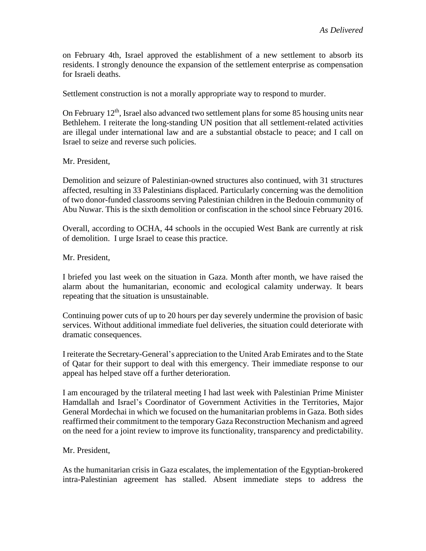on February 4th, Israel approved the establishment of a new settlement to absorb its residents. I strongly denounce the expansion of the settlement enterprise as compensation for Israeli deaths.

Settlement construction is not a morally appropriate way to respond to murder.

On February  $12<sup>th</sup>$ , Israel also advanced two settlement plans for some 85 housing units near Bethlehem. I reiterate the long-standing UN position that all settlement-related activities are illegal under international law and are a substantial obstacle to peace; and I call on Israel to seize and reverse such policies.

Mr. President,

Demolition and seizure of Palestinian-owned structures also continued, with 31 structures affected, resulting in 33 Palestinians displaced. Particularly concerning was the demolition of two donor-funded classrooms serving Palestinian children in the Bedouin community of Abu Nuwar. This is the sixth demolition or confiscation in the school since February 2016.

Overall, according to OCHA, 44 schools in the occupied West Bank are currently at risk of demolition. I urge Israel to cease this practice.

Mr. President,

I briefed you last week on the situation in Gaza. Month after month, we have raised the alarm about the humanitarian, economic and ecological calamity underway. It bears repeating that the situation is unsustainable.

Continuing power cuts of up to 20 hours per day severely undermine the provision of basic services. Without additional immediate fuel deliveries, the situation could deteriorate with dramatic consequences.

I reiterate the Secretary-General's appreciation to the United Arab Emirates and to the State of Qatar for their support to deal with this emergency. Their immediate response to our appeal has helped stave off a further deterioration.

I am encouraged by the trilateral meeting I had last week with Palestinian Prime Minister Hamdallah and Israel's Coordinator of Government Activities in the Territories, Major General Mordechai in which we focused on the humanitarian problems in Gaza. Both sides reaffirmed their commitment to the temporary Gaza Reconstruction Mechanism and agreed on the need for a joint review to improve its functionality, transparency and predictability.

## Mr. President,

As the humanitarian crisis in Gaza escalates, the implementation of the Egyptian-brokered intra-Palestinian agreement has stalled. Absent immediate steps to address the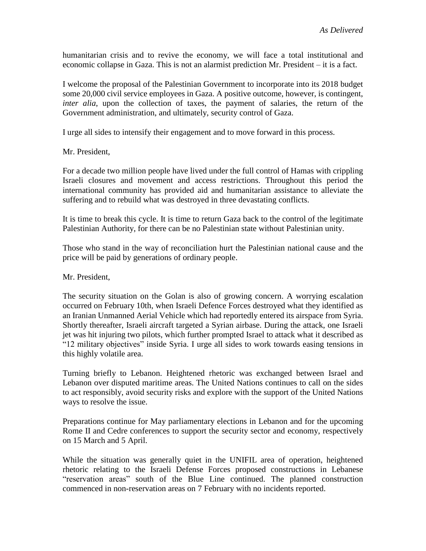humanitarian crisis and to revive the economy, we will face a total institutional and economic collapse in Gaza. This is not an alarmist prediction Mr. President – it is a fact.

I welcome the proposal of the Palestinian Government to incorporate into its 2018 budget some 20,000 civil service employees in Gaza. A positive outcome, however, is contingent, *inter alia*, upon the collection of taxes, the payment of salaries, the return of the Government administration, and ultimately, security control of Gaza.

I urge all sides to intensify their engagement and to move forward in this process.

Mr. President,

For a decade two million people have lived under the full control of Hamas with crippling Israeli closures and movement and access restrictions. Throughout this period the international community has provided aid and humanitarian assistance to alleviate the suffering and to rebuild what was destroyed in three devastating conflicts.

It is time to break this cycle. It is time to return Gaza back to the control of the legitimate Palestinian Authority, for there can be no Palestinian state without Palestinian unity.

Those who stand in the way of reconciliation hurt the Palestinian national cause and the price will be paid by generations of ordinary people.

Mr. President,

The security situation on the Golan is also of growing concern. A worrying escalation occurred on February 10th, when Israeli Defence Forces destroyed what they identified as an Iranian Unmanned Aerial Vehicle which had reportedly entered its airspace from Syria. Shortly thereafter, Israeli aircraft targeted a Syrian airbase. During the attack, one Israeli jet was hit injuring two pilots, which further prompted Israel to attack what it described as "12 military objectives" inside Syria. I urge all sides to work towards easing tensions in this highly volatile area.

Turning briefly to Lebanon. Heightened rhetoric was exchanged between Israel and Lebanon over disputed maritime areas. The United Nations continues to call on the sides to act responsibly, avoid security risks and explore with the support of the United Nations ways to resolve the issue.

Preparations continue for May parliamentary elections in Lebanon and for the upcoming Rome II and Cedre conferences to support the security sector and economy, respectively on 15 March and 5 April.

While the situation was generally quiet in the UNIFIL area of operation, heightened rhetoric relating to the Israeli Defense Forces proposed constructions in Lebanese "reservation areas" south of the Blue Line continued. The planned construction commenced in non-reservation areas on 7 February with no incidents reported.